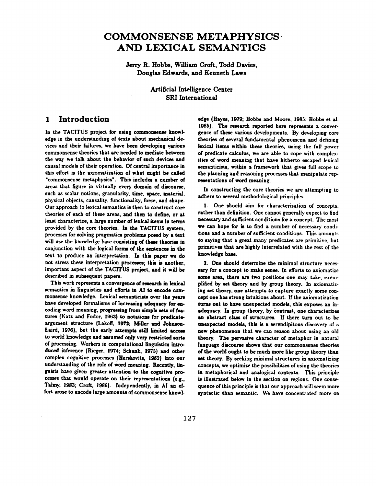# **COMMONSENSE METAPHYSICS AND LEXICAL SEMANTICS**

**Jerry R. Hobbs, William Croft, Todd Davies, Douglas Edwards, and Kenneth Laws** 

> Artificial Intelligence Center SRI International

# **1 Introduction**

In the TACITUS project for using commonsense knowledge in the understanding of texts about mechanical devices and their failures, we have been developing various commonsense theories that are needed to mediate between the way we talk about the behavior of such devices and causal models of their operation. Of central importance in this effort is the axiomatization of what might be called "commonsense metaphysics'. This includes a number of areas that figure in virtually every domain of discourse, such as scalar notions, granularity, time, space, material, physical objects, causality, functionality, force, and shape. Our approach to lexical semantics is then to construct core theories of each of these areas, and then to define, or at least characterize, a large number of lexical items in terms provided by the core theories. In the TACITUS system, processes for solving pragmatics problems posed by a text will use the knowledge base consisting of these theories in conjunction with the logical forms of the sentences in the text to produce an interpretation. In this paper we do not stress these interpretation processes; this is another, important aspect of the TACITUS project, and it will be described in subsequent papers.

This work represents a convergence of research in lexical semantics in linguistics and efforts in AI to encode commonsense knowledge. Lexical semanticists over the years have developed formalisms of increasing adequacy for encoding word meaning, progressing from simple sets of features (Katz and Fodor, 1963) to notations for predicateargument structure (Lakoff, 1972; Miller and Johnson-Laird, 1976), but the early attempts still limited to world knowledge and assumed only very restricted sorts of processing. Workers in computational linguistics introduced inference (Rieger, 1974; Schank, 1975) and other complex cognitive processes (Herskovits, 1982) into our understanding of the role of word meaning. Recently, linguists have given greater attention to the cognitive processes that would operate on their representations (e.g., Talmy, 1983; Croft, 1986). Independently, in AI an effort arose to encode large amounts of commonsense knowledge (Hayes, 1979; Hobbs and Moore, 1985; Hobbs et al. 1985). The research reported here represents a convergence of these various developments. By developing core theories of several fundamental phenomena and defining lexical items within these theories, using the full power of predicate calculus, we are able to cope with complexities of word meaning that have hitherto escaped lexical semanticists, within a framework that gives full scope to the planning and reasoning processes that manipulate representations of word meaning.

In constructing the core theories we are attempting to adhere to several methodological principles.

I. One should aim for characterization of concepts. rather than definition. One cannot generally expect to find necessary and sufficient conditions for a concept. The most we can hope for is to find a number of necessary conditions and a number of sufficient conditions. This amounts to saying that a great many predicates are primitive, but primitives that are highly interrelated with the rest of the knowledge base.

2. One should determine the minimal structure necessary for a concept to make sense. In efforts to axiomatize some area, there are two positions one may take, exemplified by set theory and by group theory. In axiomatizing set theory, one attempts to capture exactly some concept one ham strong intuitions about. If the axiomatization turns out to have unexpected models, this exposes an inadequacy. In group theory, by contrast, one characterizes an abstract class of structures. If there turn out to be unexpected models, this is a serendipitous discovery of a new phenomenon that we can reason about using an old theory. The pervasive character of metaphor in natural language discourse shows that our commonsense theories of the world ought to be much more like group theory than set theory. By seeking minimal structures in axiomatizing concepts, we optimize the possibilities of using the theories in metaphorical and analogical contexts. This principle is illustrated below in the section on regions. One consequence of this principle is that our approach will seem more syntactic than semantic. We have concentrated more on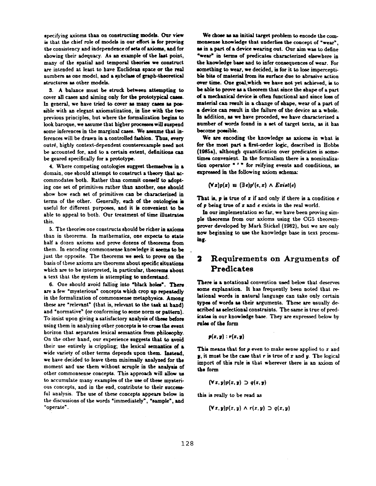specifying axioms than on constructing models. Our view is that the chief role of models in our effort is for proving the consistency and independence of sets of axioms, and for showing their adequacy. As an example of the last point, many of the spatial and temporal theories we construct are intended at least to have Euclidean space or the real numbers as one model, and a subclass of graph-theoretical structures as other models.

3. A balance must be struck between attempting to cover all cases and aiming only for the prototypical cases. In general, we have tried to cover as many cases as possible with an elegant axiomatization, in line with the two previous principles, but where the formalization begins to look baroque, we assume that higher processes will suspend some inferences in the marginal cases. We assume that inferences will be drawn in a controlled fashion. Thus, every outré, highly context-dependent counterexample need not be accounted for, and to a certain extent, definitions can be geared specifically for a prototype.

4. Where competing ontologies suggest themselves in a domain, one should attempt to construct a theory that accommodates both. Rather than commit oneself to adopting one set of primitives rather than another, one should show how each set of primitives can be characterized in terms of the other. Generally, each of the ontologies is useful for different purposes, and it is convenient to be able to appeal to both. Our treatment of time illustrates this.

5. The theories one constructs should be richer in axioms than in theorems. In mathematics, one expects to state half a dozen axioms and prove dozens of theorems from them. In encoding commonsense knowledge it seems to be just the opposite. The theorems we seek to prove on the basis of these axioms are theorems about specific situations which are to be interpreted, in particular, theorems about a text that the system is attempting to understand.

6. One should avoid falling into "black holes". There are a few "mysterious" concepts which crop up repeatedly in the formalization of commonsense metaphysics. Among these are "relevant" (that is, relevant to the task at hand) and "normative" {or conforming to some norm or pattern). To insist upon giving a satisfactory analysis of these before using them in analyzing other concepts is to cross the event horizon that separates lexical semantics from philosophy. On the other hand, our experience suggests that to avoid their use entirely is crippling; the lexical semantics of  $\boldsymbol{a}$ wide variety of other terms depends upon them. Instead, we have decided to leave them minimally analyzed for the moment and use them without scruple in the analysis of other commonsense concepts. This approach will allow us to accumulate many examples of the use of these mysterious concepts, and in the end, contribute to their successful analysis. The use of these concepts appears below in the discussions of the words "immediately", "sample', and "operate".

We chose as an initial target problem to encode the commonsense knowledge that underlies the concept of "wear", as in a part of a device wearing out. Our aim was to define "wear" in terms of predicates characterized elsewhere in the knowledge base and to infer consequences of wear. For something to wear, we decided, is for it to lose imperceptible bits of material from its surface due to abrasive action **over** time. One goal,which we have not yet achieved, is to be able to prove as a theorem that since the shape of a part of • mechanical device is often functional and since loss of material can result in • change of shape, wear of a part of a device can result in the failure of the device as a whole. In addition, as we have proceded, we have characterized a number of words found in a set of target texts, as it has become possible.

We are encoding the knowledge as axioms in what is for the most part a first-order logic, described in Hobbs (1985a), although quantification over predicates is sometimes convenient. In the formalism there is a nominalization operator  $4$   $^{\prime}$  " for reifying events and conditions, as expressed in the following axiom schema:

$$
(\forall z)p(x) \equiv (\exists e)p'(e,z) \land Exist(e)
$$

That is,  $p$  is true of  $x$  if and only if there is a condition  $e$ of  $p$  being true of  $x$  and  $e$  exists in the real world.

In our implementation so far, we have been proving simple theorems from our axioms using the CG5 theoremprover developed by Mark Stickel (1982), but we are only now beginning to use the knowledge base in text processinf.

# **2 Requirements on Arguments of Predicates**

There is a notational convention used below that deserves some explanation. It has frequently been noted that relational words in natural language can take only certain types of words as their arguments. These are usually described as selectional constraints. The same is true of predicates in our knowledge base. They are expressed below by **ruin** of the form

$$
p(x,y):r(x,y)
$$

This means that for  $p$  even to make sense applied to  $r$  and **y**, it must be the case that r is true of x and y. The logical import of this rule is that wherever there is an axiom of the form

$$
(\forall x, y)p(x, y) \supset q(x, y)
$$

this is really to be read as

$$
(\forall x, y)p(x, y) \wedge r(x, y) \supset q(x, y)
$$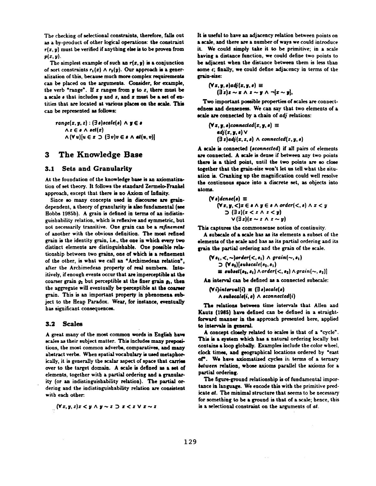The checking of selectional constraints, therefore, falls out as a by-product of other logical operations: the constraint  $r(x, y)$  must be verified if anything else is to be proven from  $p(x, y)$ .

The simplest example of such an  $r(x, y)$  is a conjunction of sort constraints  $r_1(z) \wedge r_2(y)$ . Our approach is a generalization of this, because much more complex requirements can be placed on the arguments. Consider, for example, the verb "range". If  $z$  ranges from  $y$  to  $z$ , there must be a scale s that includes  $y$  and  $z$ , and  $z$  must be a set of entities that are located at various places on the scale. This can be represented as follows:

 $range(z, y, z) : (\exists s) scale(s) \land y \in s$  $\Lambda z \in \mathfrak{s} \wedge \mathfrak{sel}(z)$  $\wedge$   $(\forall u)[u \in x \supset (\exists v)v \in \mathfrak{s} \wedge \mathfrak{at}(u, v)]$ 

# **3 The Knowledge Base**

#### **3.1** Sets and Granularity

At the foundation of the knowledge base is an axiomatization of set theory. It follows the standard Zermelo-Frankel approach, except that there is no Axiom of Infinity.

Since so many concepts used in discourse are graindependent, a theory of granularity is also fundamental (see Hobbs 1985b). A grain is defined in terms of an indistinguishability relation, which is reflexive and symmetric, but not necessarily transitive. One grain can be a *refinement* of another with the obvious definition. The most refined grain is the identity grain, i.e., the one in which every two distinct elements are distinguishable. One possible relationship between two grains, one of which is z refinement of the other, is what we call an "Archimedean relation', after the Archimedean property of real numbers. Intuitively, if enough events occur that are imperceptible at the coarser grain  $g_2$  but perceptible at the finer grain  $g_1$ , then the aggregate will eventually be perceptible at the coarser grain. This is an important property in phenomena subject to the Heap Paradox. Wear, for instance, eventually has significant consequences.

#### **3.2 Scales**

A great many of the most common words in English havre scales as their subject matter. This includes many prepositions, the most common adverbs, comparatives, and many abstract verbs. When spatial vocabulary is used metaphorically, it is generally the scalar aspect of space that carries over to the target domain. A scale is defined as a set of elements, together with a partial ordering and a granularity (or an indistinguishability relation). The partial ordering and the indistinguishability relation are consistent with each other.

 $(y \mid x, y, z)$  $x \mid y \land y \sim z$   $\supset x \mid x \land y \sim z$ 

It is useful to have an adjacency relation between points on a scale, and there are a number of ways we could introduce it. We could simply take it to be primitive; in a scale having a distance function, we could define two points to be adjacent when the distance between them is less than some  $\epsilon$ ; finally, we could define adjacency in terms of the grain-size:

 $(\forall x, y, s)$ a $dj(z, y, s) \equiv$  $(\exists z)z \sim z \land z \sim y \land \neg[z \sim y],$ 

Two important possible properties of scales are connectedness and denseness. We can say that two elements of a scale are connected by a chain of *adj* relations:

 $(\forall z, y, s)$ connected $(z, y, s) \equiv$ *<i>•* $dj(z, y, z)$   $\vee$  $(\exists z)$ *adj* $(x, z, s)$   $\land$  *connected* $(z, y, s)$ 

A scale is connected *(econnecled)* if all pairs of elements are connected. A scale is dense if between any two points there is a third point, until the two points are so close together that the grain-size won't let us tell what the situation is. Cranking up the magnification could well resolve the continuous space into a discrete set, as objects into atoms.

$$
(\forall s) \text{dense}(s) \equiv
$$
  
\n
$$
(\forall x, y, <)x \in s \land y \in s \land order(<, s) \land x < y
$$
  
\n
$$
\supset (\exists z)(x < z \land z < y)
$$
  
\n
$$
\vee (\exists z)(x \sim z \land z \sim y)
$$

This captures the commonsense notion of continuity.

A subscale of a scale has as its elements a subset of the elements of the scale and has as its partial ordering and its grain the partial ordering and the grain of the scale.

$$
(\forall s_1, <, \sim) order(<, s_1) \land grain(<, s_1)
$$
  
\n
$$
\supset (\forall s_2)[subscale(s_2, s_1)]
$$
\n
$$
\equiv subset(s_2, s_1) \land order(<, s_2) \land grain(<, s_2)]
$$

An interval can be defined as a connected subscale:

 $(Vi)$ *interval* $(i) \equiv (3s)$ *scale(s)*  $\land$  subscale(i, s)  $\land$  sconnected(i)

The relations between time intervals that Allen and Kauts (1985) have defined can be defined in a straightforward manner in the approach presented here, applied to intervals in general.

A concept closely related to scales is that of a "cycle". This is a system which has a natural ordering locally but contains a loop globally. Examples include the color wheel, clock times, and geographical locations ordered by "east of". We have axiomatized cycles in terms of a ternary between relation, whose axioms parallel the axioms for a partial ordering.

The figure-ground relationship is of fundamental importance in language. We encode this with the primitive predicate af. The minimal structure that seems to be necessary for something to be a ground is that of a scale; hence, this is a selectional constraint on the arguments of *at.*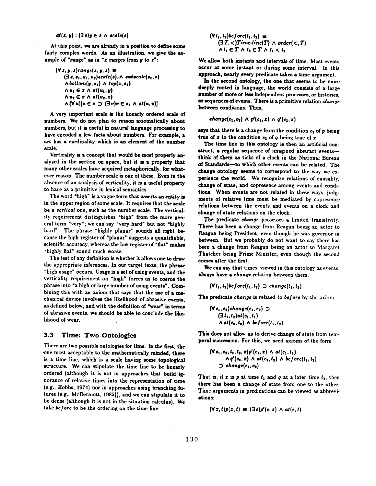#### $at(x, y) : (\exists s)y \in s \land scale(s)$

**At this point, we are already in • position to define some fairly complex words. As an illustration, we give the ex**ample of "range" as in " $x$  ranges from  $y$  to  $z$ ":

$$
(\forall x, y, z) range(x, y, z) \equiv
$$
  
\n
$$
(\exists e, e_1, u_1, u_2) scale(a) \land \text{subscale}(e_1, e)
$$
  
\n
$$
\land bottom(y, e_1) \land top(z, e_1)
$$
  
\n
$$
\land u_1 \in z \land at(u_1, y)
$$
  
\n
$$
\land u_2 \in z \land at(u_2, z)
$$
  
\n
$$
\land (\forall u)[u \in x \supset (\exists v)v \in e_1 \land at(u, v)]
$$

A very important scale is the linearly ordered scale of numbers. We do not plan to reason axiomatically about numbers, but it is useful in natural language processing to have encoded a few facts about numbers. For example, a set has a cardinality which is an element of the number scale.

Verticality is a concept that would be most properly analyzed in the section on space, but it is a property that many other scales have acquired metaphorically, for whatever reason. The number scale is one of these. Even in the absence of an analysis of verticality, it is a useful property to have as a primitive in lexical semantics.

The word "high" is a vague term that asserts an entity is in the upper region of some scale. It requires that the scale *be a vertical* one, such as the number scale. The verticality requirement distinguishes "high" from the more general term "very"; we can say "very hard" but not "highly hard". The phrase "highly planar" sounds all right because the high register of "planar" suggests a quantifiable. scientific accuracy, whereas the low register of "flat" makes "highly flat" sound much worse.

The test of any definition is whether it allows one to draw the appropriate inferences. In our target texts, the phrase "high usage" occurs. Usage is a set of using events, and the verticality requirement on "high" forces us to coerce the phrase into "a high or large number of using events". Combining this with an axiom that says that the use of a mechanical device involves the likelihood of abrasive events, as defined below, and with the definition of "wear" in terms of abrasive events, we should be able to conclude the likelihood of wear.

#### **3.3** Time: Two Ontologles

There are two possible ontologies for time. In the first, the one most acceptable to the mathematically minded, there is a time line, which is a scale having some topological structure. We can stipulate the time line to be linearly ordered (although it is not in approaches that build ignorance of relative times into the representation of time (e.g., Hobbs, 1974) nor in approaches using branching futures (e.g., McDermott, 1985)), and we can stipulate it to be dense (although it is not in the situation calculus). We take *before* to be the ordering on the time line:

$$
(\forall t_1, t_2) \& for \newline (\exists T, <) Time-line(T) \land order(<, T)
$$
  
\n
$$
\land t_1 \in T \land t_2 \in T \land t_1 < t_2
$$

We allow both instants and intervals of time. Most events occur at some instant or during some interval. In this approach, nearly every predicate takes a time argument.

In the second ontology, the one that seems to be more deeply rooted in language, the world consists of a large number of more or less independent processes, or histories, or sequences of events. There is a primitive relation *change*  between conditions. Thus,

$$
change(e_1, e_2) \wedge p'(e_1, x) \wedge q'(e_2, x)
$$

says that there is a change from the condition  $e_1$  of  $p$  being true of  $z$  to the condition  $e_2$  of  $q$  being true of  $z$ .

The time line in this ontology is then an artificial construct, a regular sequence of imagined abstract eventsthink of them as ticks of a clock in the National Bureau of Standards--to which other events can be related. The change ontology seems to correspond to the way we e× perience the world. We recognize relations of causality, change of state, and copresence among events and conditions. When events are not related in these ways, judgments of relative time must be mediated by copresence relations between the events and events on a clock and change of state relations on the clock.

The predicate *change* possesses a limited transitivity. There has been a change from Reagan being an actor to Reagan being President, even though he was governor in between. But we probably do not want to say there has been a change from Reagan being an actor to Margaret Thatcher being Prime Minister, even though the second comes after the first.

We can say that times, viewed in this ontology as events, always have a *change* relation between them.

 $(Vt_1, t_2)$ *before* $(t_1, t_2) \supset change(t_1, t_2)$ 

The predicate *change is* related to *before* by the axiom

$$
(\forall e_1, e_2) change(e_1, e_2) \supset
$$
  
\n
$$
(\exists t_1, t_2) at(e_1, t_1)
$$
  
\n
$$
\land at(e_2, t_2) \land \& force(t_1, t_2)
$$

This does not allow us to derive change of state from temporal succession. For this, we need axioms of the form

$$
\begin{array}{l}\n(\forall e_1, e_1, t_1, t_2, x) p'(e_1, x) \wedge at(e_1, t_1) \\
\wedge q'(e_2, x) \wedge at(e_2, t_2) \wedge before(t_1, t_2) \\
\supset \text{change}(e_1, e_2)\n\end{array}
$$

That is, if x is p at time  $t_1$  and q at a later time  $t_2$ , then there has been a change of state from one to the other. Time arguments in predications can be viewed as abbreviations:

$$
(\forall x, t)p(x, t) \equiv (\exists e)p'(e, x) \land at(e, t)
$$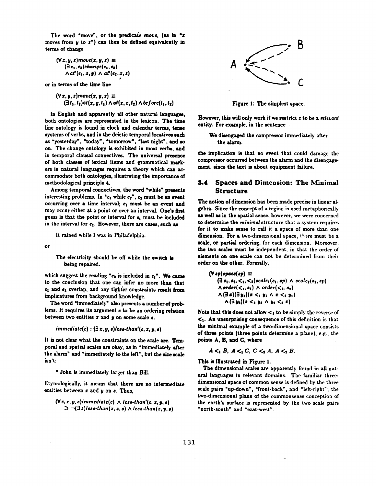The word "move", or the predicate move, (as in " $z$ moves from  $y$  to  $z<sup>n</sup>$ ) can then be defined equivalently in terms of change

$$
(\forall x, y, z) move(x, y, z) \equiv
$$
  
\n
$$
(\exists e_1, e_2) change(e_1, e_2)
$$
  
\n
$$
\land a t'(e_1, x, y) \land a t'(e_2, x, z)
$$

**or** in terms of the time line

$$
(\forall x, y, z) move(x, y, z) \equiv
$$
  

$$
(\exists t_1, t_2) at(x, y, t_1) \land at(x, z, t_2) \land before(t_1, t_2)
$$

*m* 

In English and apparently all other natural languages, both ontologies are represented in the lexicon. The time line ontology is found in clock and calendar terms, tense systems of verbs, and in the deictic temporal locatives such as "yesterday", "today", "tomorrow", "last night", and so on. The change ontology is exhibited in most verbs, and in temporal clausal connectives. The universal presence of both classes of lexical items and grammatical markers in natural languages requires a theory which can accommodate both ontologies, illustrating the importance of methodological principle 4.

Among temporal connectives, the word "while" presents interesting problems. In " $e_1$  while  $e_2$ ",  $e_2$  must be an event occurring over a time interval;  $e_1$  must be an event and may occur either at a point or over an interval. One's first guess is that the point or interval for  $e_1$  must be included in the interval for  $e_2$ . However, there are cases, such as

it rained while I was in Philadelphia.

or

The electricity should be off while the switch is being repaired.

which suggest the reading " $e_2$  is included in  $e_1$ ". We came to the conclusion that one can infer no more than that  $e_1$  and  $e_2$  overlap, and any tighter constraints result from implicatures from background knowledge.

The word "immediately" also presents a number of problems. It requires its argument e to be an ordering relation between two entities  $x$  and  $y$  on some scale  $s$ .

$$
immediate(e):(\exists x,y,s) \textit{less-than'}(e,x,y,s)
$$

It is not clear what the constraints on the scale are. Temporal and spatial scales are okay, as in "immediately after the alarm" and "immediately to the left", but the size scale isn't:

\* John is immediately larger than Bill.

Etymologically, it means that there are no intermediate entities between  $x$  and  $y$  on  $s$ . Thus,

$$
(\forall e, x, y, s) \text{immediate}(e) \land \text{less-than}'(e, x, y, s)
$$
  

$$
\supset \neg (\exists z) \text{less-than}(x, z, s) \land \text{less-than}(z, y, s)
$$



Figure I: The simplest space.

However, this will only work if we restrict z to be a *relevant* entity. For example, in the sentence

We disengaged the compressor immediately after the alarm.

the implication is that no event that could damage the compressor occurred between the alarm and the disengagement, since the text is about equipment failure.

### **3.4 Spaces and Dimenslon: The Minlmal**  Structure

The notion of dimension has been made precise in linear al gebra. Since the concept of a region is used metaphorically as well as in the spatial sense, however, we were concerned to determine the *minimal* structure that a system requires for it to make sense to call it a space of more than one dimension. For a two-dimensional space, there must be a scale, or partial ordering, for each dimension. Moreover, the two scales must be independent, in that the order of elements on one scale can not be determined from their order on the other. Formally,

$$
(\forall sp) space(sp) \equiv
$$
\n
$$
(\exists s_1, s_2, <_1, <_2) scale_1(s_1, sp) \land scale_2(s_2, sp)
$$
\n
$$
\land order(<_1, s_1) \land order(<_2, s_2)
$$
\n
$$
\land (\exists x)(\exists y_1)(x <_1 y_1 \land x <_2 y_1)
$$
\n
$$
\land (\exists y_2)(x <_1 y_2 \land y_2 <_2 x)
$$

Note that this does not allow  $\lt_2$  to be simply the reverse of  $\leq_1$ . An unsurprising consequence of this definition is that the minimal example of a two-dimensional space consists of three points (three points determine a plane}, e.g., the points A, B, and C, where

$$
A <_1 B, A <_1 C, C <_2 A, A <_2 B.
$$

This is Illustrated in Figure 1.

The dimensional scales are apparently found in all nat ural languages in relevant domains. The familiar threedimensional space of common sense is defined by the three scale pairs "up-down", "front-back", and "left-right'; the two-dimensional plane of the commonsense conception of the earth's surface is represented by the two scale pairs "north-south" and "east-west".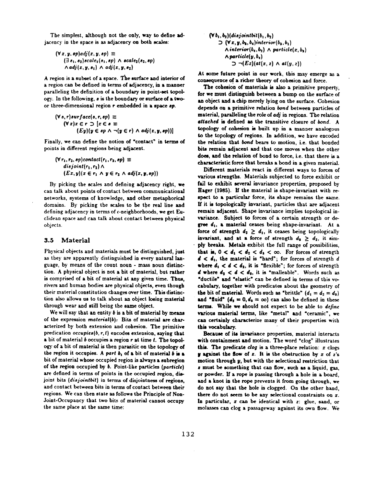The simplest, although not the only, way to define adjacency in the space is as adjacency on both scales:

$$
(\forall x, y, \text{sp}) adj(x, y, \text{sp}) \equiv
$$
  

$$
(\exists s_1, s_2) scale_1(s_1, \text{sp}) \land scale_2(s_2, \text{sp})
$$
  

$$
\land adj(z, y, s_1) \land adj(x, y, s_2)
$$

A region is a subset of a space. The surface and interior of a region can be defined in terms of adjacency, in a manner paralleling the definition of a boundary in point-set topoiogy. In the following,  $s$  is the boundary or surface of a twoor three-dimensional region • embedded in a space *sp.* 

$$
(\forall s, r) \text{ sur face}(s, r, sp) \equiv
$$
  
\n
$$
(\forall z) \text{ } z \in r \supset [x \in s \equiv
$$
  
\n
$$
(Ey)(y \in sp \land \neg(y \in r) \land adj(z, y, sp))]
$$

Finally, we can define the notion of "contact" in terms of points in different regions being adjacent.

$$
(\forall r_1, r_2, \text{ }sp) \text{ contact}(r_1, r_2, \text{ }sp) \equiv
$$
  
disjoint(r\_1, r\_2) \land  

$$
(Ex, y)(x \in r_1 \land y \in r_2 \land adj(x, y, \text{ }sp))
$$

By picking the scales and defining adjacency right, we can talk about points of contact between communicational networks, systems of knowledge, and other metaphorical domains. By picking the scales to be the real line and defining adjacency in terms of  $\epsilon$ -neighborhoods, we get Euclidean space and can talk about contact between physical objects.

#### **3.5 Material**

Physical objects and materials must be distinguished, just as they are apparently distinguished in every natural language, by means of the count noun - mass noun distinction. A physical object is not a bit of material, but rather is comprised of a bit of material at any given time. Thus, rivers and human bodies are physical objects, even though their material constitution changes over time. This distinction also allows us to talk about an object losing material through wear and still being the same object.

We will say that an entity b is a bit of material by means of the expression *material(b):* Bits of material are characterized by both extension and cohesion. The primitive predication *occupies(b, r, t)* encodes extension, saying that a bit of material  $b$  occupies a region  $r$  at time  $t$ . The topology of a bit of material is then parasitic on the topology of the region it occupies. A part  $b_1$  of a bit of material  $b$  is a bit of material whose occupied region is always a subregion of the region occupied by b. Point-like particles *(particle)*  are defined in terms of points in the occupied region, disjoint bits *(disjointbil)* in terms of disjointness of regions, and contact between bits in terms of contact between their regions. We can then state as follows the Principle of Non-Joint-Occupancy that two bits of material cannot occupy the same place at the same time:

$$
(\forall b_1, b_2)(disjointbit(b_1, b_2)\n\supset (\forall x, y, b_3, b_4)interior(b_3, b_1)\n\wedge interior(b_4, b_2) \wedge particle(x, b_3)\n\wedge particle(y, b_4)\n\supset \neg(Ez)(at(x, z) \wedge at(y, z))
$$

At some future point in our work, this may emerge as a consequence of a richer theory of cohesion and force.

The cohesion of materials is also a primitive property, for we must distinguish between a bump on the surface of an object and a chip merely lying on the surface. Cohesion depends on a primitive relation bond between particles of material, paralleling the role of *adj* in regions. The relation *attached is* defined as the transitive closure of bond. A topology of cohesion is built up in a manner analogous to the topology of regions. In addition, we have encoded the relation that bond bears to motion, i.e. that bonded bits remain adjacent and that one moves when the other does, and the relation of bond to force, i.e. that there is a characteristic force that breaks a bond' in a given material.

Different materials react in different ways to forces of various strengths. Materials subjected to force exhibit or fail to exhibit several invariance properties, proposed by Hager (1985). If the material is shape-invariant with respect to a particular force, its shape remains the same. If it is topologically invariant, particles that are adjacent remain adjacent. Shape invariance implies topological invariance. Subject to forces of a certain strength or degree  $d_1$ , a material ceases being shape-invariant. At a force of strength  $d_2 \geq d_1$ , it ceases being topologically invariant, and at a force of strength  $d_3 \geq d_2$ , it simply breaks. Metals exhibit the full range of possibilities, that is,  $0 < d_1 < d_2 < d_3 < \infty$ . For forces of strength  $d < d_1$ , the material is "hard"; for forces of strength  $d$ where  $d_1 < d < d_2$ , it is "flexible"; for forces of strength d where  $d_2 < d < d_3$ , it is "malleable". Words such as "ductile" and "elastic" can be defined in terms of this vocabulary, together with predicates about the geometry of the bit of material. Words such as "brittle"  $(d_1 = d_2 = d_3)$ and "fluid"  $(d_2 = 0, d_3 = \infty)$  can also be defined in these fermi. While w¢ should not expect to be able to *define*  various material terms, like "metal" and "ceramic', we can certainly characterize many of their properties with this vocabulary.

Because of its iavariance properties, material interacts with containment and motion. The word "clog" illustrates this. The predicate *clog* is a three-place relation: x clogs **y** against the flow of  $z$ . It is the obstruction by  $z$  of  $z$ 's motion through  $y$ , but with the selectional restriction that • must be something that can flow, such is a liquid, gas, or powder. If a rope is passing through a hole in a board, and a knot in the rope prevents it from going through, we do not say that the hole is clogged. On the other hand, there do not seem to be any selectional constraints on  $z$ . In particular,  $x$  can be identical with  $z$ : glue, sand, or molasses can clog a passageway against its own flow. We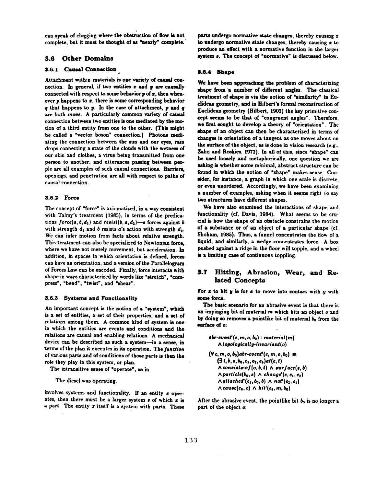can speak of clogging where the obstruction of flow is not complete, but it must be thought of as "nearly" complete.

#### **3.6 Other Domains**

#### **3.6.1 Causal Connection**

Attachment within materials is one variety of causal connection. In general, if two entities  $x$  and  $y$  are causally connected with respect to some behavior  $p$  of  $x$ , then whenever  $p$  happens to  $z$ , there is some corresponding behavior  $q$  that happens to  $y$ . In the case of attachment,  $p$  and  $q$ are both move. A particularly common variety of causal connection between two entities is one mediated by the motion of a third entity from one to the other. (This might be called a "vector boson" connection.) Photons mediating the connection between the sun and our eyes, rain drops connecting a state of the clouds with the wetness of our skin and clothes, a virus being transmitted from one person to another, and utterances passing between people are all examples of such causal connections. Barriers, openings, and penetration are all with respect to paths of causal connection.

#### **3.6.2 Force**

The concept of "force" is axiomatized, in a way consistent with Talmy's treatment (1985), in terms of the predications  $force(a, b, d_1)$  and  $resist(b, a, d_2)$ -a forces against b with strength  $d_1$  and b resists a's action with strength  $d_2$ . We can infer motion from facts about relative strength. This treatment can also be specialized to Newtonian force, where we have not merely movement, but acceleration. In addition, in spaces in which orientation is defined, forces can have an orientation, and a version of the Parallelogram of Forces Law can be encoded. Finally, force interacts with shape in ways characterized by words like "stretch", "compress", "bend", "twist", and "shear".

#### **3.6.3** Systems and Functionality

An important concept is the notion of a "system", which is a set of entities, a set of their properties, and a set of relations among them. A common kind of system is one in which the entities are events and conditions and the relations are causal and enabling relations. A mechanical device can be described as such a system-in a sense, in terms of the plan it executes in its operation. The *function*  of various parts and of conditions of those parts is then the role they play in this system, or plan.

The intransitive sense of "operate', as in

The diesel was operating.

involves systems and functionality. If an entity  $x$  operates, then there must be a larger system  $s$  of which  $z$  is a part. The entity  $x$  itself is a system with parts. These parts undergo normative state changes, thereby causing  $x$ to undergo normative state changes, thereby causing  $x$  to produce an effect with a normative function in the larger system a. The concept of "normative" is discussed below.

#### **8.6.4** Shape

We have been approaching the problem of characterizing shape from "a number of different angles. The classical treatment of shape is via the notion of "similarity" in Euclidean geometry, and in Hilbert's formal reconstruction of Euclidean geometry (Hilbert, 1902) the key primitive concept seems to be that of "congruent angles". Therefore, we first sought to develop a theory of "orientation". The shape of an object can then be characterized in terms of changes in orientation of a tangent as one moves about on the surface of the object, as is done in vision research (e.g., Zahn and Roskies, 1972). In all of this, since "shape" can be used loosely and metaphorically, one question we are asking is whether some minimal, abstract structure can be found in which the notion of "shape" makes sense. Conaider, for instance, a graph in which one scale is discrete, or even unordered. Accordingly, we have been examining a number of examples, asking when it seems right to say two structures have different shapes.

We have also examined the interactions of shape and functionality (cf. Davis, 1984). What seems to be crucial is how the shape of an obstacle constrains the motion of a substance or of an object of a particular shape (cf. Shoham, 1985). Thus, a funnel concentrates the flow of a liquid, and similarly, a wedge concentrates force. A box pushed against a ridge in the floor will topple, and a wheel is a limiting case of continuous toppling.

### **3.T Hitting, Abrasion, Wear, and Rehated** Concepts

For  $z$  to hit  $y$  is for  $z$  to move into contact with  $y$  with some force.

The basic scenario for an abrasive event is that there is an impinging bit of material  $m$  which hits an object  $o$  and by doing so removes a pointlike bit of material  $b_n$  from the surface of **o:** 

$$
abr\text{-}event'(e, m, o, b_0): material(m)
$$
\n
$$
\wedge topologically\text{-}invariant(o)
$$
\n
$$
(\forall e, m, o, b_0) abr\text{-}event'(e, m, o, b_0) \equiv
$$
\n
$$
(\exists i, b, e, b_0, e_1, e_2, e_3) a \{e, t\}
$$
\n
$$
\wedge \text{consider-of}(o, b, t) \wedge \text{surface}(s, b)
$$
\n
$$
\wedge \text{particle}(b_0, s) \wedge \text{change}'(e, e_1, e_2)
$$
\n
$$
\wedge \text{attached}'(e_1, b_0, b) \wedge \text{not}'(e_2, e_1)
$$
\n
$$
\wedge \text{cause}(e_3, e) \wedge \text{hit}'(e_4, m, b_0)
$$

After the abrasive event, the pointlike bit  $b_0$  is no longer a part of the object o: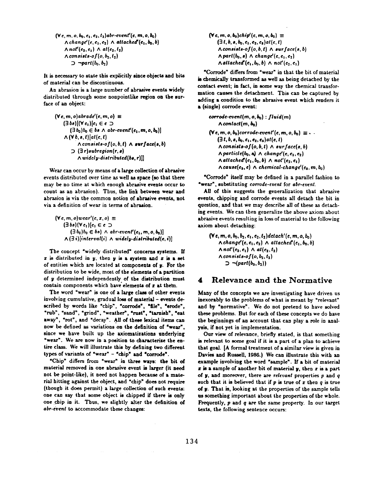$$
(\forall e, m, o, b_0, e_1, e_2, t_2) \text{abr-event}'(e, m, o, b_0)
$$
\n
$$
\land \text{change}'(e, e_1, e_2) \land \text{attached}'(e_1, b_0, b)
$$
\n
$$
\land \text{no}t'(e_2, e_1) \land \text{at}(e_2, t_2)
$$
\n
$$
\land \text{consistents-of}(o, b_2, t_2)
$$
\n
$$
\supset \neg \text{part}(b_0, b_2)
$$

It is necessary to state this explicitly since objects and bits of material can be discontinuous.

An abrasion is a large number of abrasive events widely distributed through some nonpointlike region on the surface of an object:

$$
(\forall e, m, o) \text{abrad} \{e, m, o\} \equiv
$$
\n
$$
(\exists b_{0}) [(\forall e_{1}) [e_{1} \in e \supset
$$
\n
$$
(\exists b_{0}) b_{0} \in b_{0} \land \text{abr-even} \{e_{1}, m, o, b_{0}\}]
$$
\n
$$
\land (\forall b, s, t) [at(e, t)
$$
\n
$$
\land \text{consists-of}(o, b, t) \land \text{surface}(s, b)
$$
\n
$$
\supset (\exists r) \text{subregion}(r, s)
$$
\n
$$
\land \text{widely-distributed}(b s, r)]]
$$

Wear can occur by means of a large collection of abrasive events distributed over time as well as space (so that there may be no time at which enough abrasive events occur to count as an abrasion). Thus, the link between wear and abrasion is via the common notion of abrasive events, not via a definition of wear in terms of abrasion.

$$
(\forall e, m, o) \text{ we have } \begin{aligned} (\forall e, m, o) \text{ we have } \mathbf{a} & \exists b s (\forall e_1) [e_1 \in e] & \Rightarrow \\ (\exists b_0) b_0 \in bs) \land \text{ abr-event}'(e_1, m, o, b_0)] \\ \land (\exists i) [\text{interval}(i) \land \text{widelity-distributed}(e, i)] \end{aligned}
$$

The concept "widely distributed" concerns systems. If  $x$  is distributed in  $y$ , then  $y$  is a system and  $x$  is a set of entities which are located at components of y. For the distribution to be wide, most of the elements of a partition of y determined independently of the distribution must contain components which have elements of  $x$  at them.

The word "wear" is one of a large class of other events involving cumulative, gradual loss of material - events described by words like "chip", "corrode", "file", "erode", "rub\*, "sand", "grind\*, "weather", "rust', "tarnish', "eat away", "rot", and "decay". All of these lexical items can now be defined as variations on the definition of "wear", since we have built up the axiomatizations underlying "wear". We are now in a position to characterize the entire class. We will illustrate this by defining two different types of variants of "wear" - "chip" and "corrode".

"Chip\* differs from "wear" in three ways: the bit of material removed in one abrasive event is larger (it need not be point-like), it need not happen because of a material hitting against the object, and "chip\* does not require (though it does permit) a large collection of such events: one can say that some object is chipped if there is only one chip in it. Thus, we slightly alter the definition of *abr-evenl* to accommodate these changes:

 $(\forall e, m, o, b_0)$ *chip'*  $(e, m, o, b_0) \equiv$  $(3 t, b, s, b_0, e_1, e_2, e_3)$ *at(e,t)*  $\Lambda$ *consists-of(o, b, t)*  $\Lambda$  *surface(s, b)*  $\land$  part(b<sub>0</sub>, *s*)  $\land$  *change'*(*e*, *e*<sub>1</sub>, *e*<sub>2</sub>)  $\land$  *attached'*( $e_1$ ,  $b_0$ , *b*)  $\land$   $not'(e_2, e_1)$ 

"Corrode" differs from "wear\* in that the bit of material is chemically transformed as well as being detached by the contact event; in fact, in some way the chemical transformation causes the detachment. This can be captured by adding a condition to the abrasive event which renders it • (single) corrode event:

 $corrode-event(m, o, b_0)$ :  $fluid(m)$ *^contact(m, be)*   $(\forall e, m, o, b_0)$ corrode-event' $(e, m, o, b_0) \equiv \cdots$  $(3 t, b, s, b_0, c_1, c_2, c_3)$ *at*(*e, t*)  $\wedge$  *consists-of* $(o, b, t) \wedge \textit{surface}(s, b)$  $\land$  particle(b<sub>0</sub>, a)  $\land$  change'(e, e<sub>1</sub>, e<sub>2</sub>)  $\land$  attached'(e<sub>1</sub>, b<sub>0</sub>, b)  $\land$  not'(e<sub>2</sub>, e<sub>1</sub>)  $\wedge$ *cause*(e<sub>4</sub>, *e*)  $\wedge$  *chemical-change'*(e<sub>5</sub>, *m*, *b*<sub>0</sub>)

"Corrode\* itself may be defined in a parallel fashion to "wear\*, substituting *corrode-event* for *abr-event.* 

All of this suggests the generalization that abrasive events, chipping and corrode events all detach the bit in question, and that we may describe all of these as detaching events. We can then generalize the above axiom about abrasive events resulting in loss of material to the following axiom about detaching:

 $(v_{e}, m, o, b_{0}, b_{2}, e_{1}, e_{2}, t_{2})$ detach'(e, m, o, b<sub>0</sub>)  $\wedge$ *change'*(e, e<sub>1</sub>, e<sub>2</sub>)  $\wedge$  attached'(e<sub>1</sub>, b<sub>0</sub>, b)  $\land$  *not'*(*e*<sub>2</sub>, *e*<sub>1</sub>)  $\land$  *at*(*e*<sub>2</sub>, *t*<sub>2</sub>)  $\wedge$  *consists-of(o, b<sub>2</sub>, t<sub>2</sub>) D -,(part(be, b:))* 

# **4 Relevance and the Normative**

Many of the concepts we are investigating have driven us inexorably to the problems of what is meant by "relevant" and by "normative". We do not pretend to have solved these problems. But for each of these concepts we do have the beginnings of an account that can play a role in analysis, if not yet in implementation.

Our view of relevance, briefly stated, is that something is relevant to some goal if it is a part of a plan to achieve that goal. [A formal treatment of a similar view is given in Davies and Russell, 1986.) We can illustrate this with an example involving the word "sample\*. If a bit of material  $x$  is a sample of another bit of material  $y$ , then  $x$  is a part of y, and moreover, there are *relevant* properties p and q such that it is believed that if  $p$  is true of  $x$  then  $q$  is true of y. That is, looking at the properties of the sample tells us something important about the properties of the whole. Frequently, p and q are the same property. In our target texts, the following sentence occurs: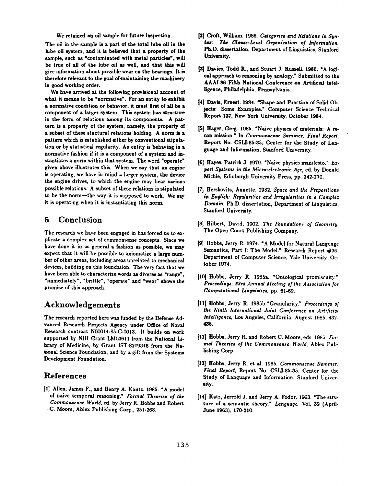We retained an oil sample for future inspection.

The oil in the sample is a part of the total lube oil in the lube oil system, and it is believed that a property of the sample, such as "contaminated with metal particles", will be true of all of the lube oil as well, and that this will give information about possible wear on the bearings. It is therefore relevant to the goal of maintaining the machinery in good working order.

We have arrived at the following provisional account of what it means to be "normative'. For an entity to exhibit a normative condition or behavior, it must first of all be a component of a larger system. This system has structure in the form of relations among its components. A pattern is a property of the system, namely, the property of a subset of these stuctural relations holding. A norm is a pattern which is established either by conventional stipulation or by statistical regularity. An entity is behaving in a normative fashion if it is a component of a system and instantiates a norm within that system. The word "operate" given above illustrates this. When we say that an engine is operating, we have in mind a larger system, the device the engine drives, to which the engine may bear various possible relations. A subset of these relations is stipulated to be the norm--the way it is supposed to work. We say it is operating when it is instantiating this norm.

# **5 Conclusion**

The research we have been engaged in has forced us to explicate a complex set of commonsense concepts. Since we have done it in as general a fashion as possible, we may expect that it will be possible to axiomatize a large number of other areas, including areas unrelated to mechanical devices, building on this foundation. The very fact that we have been able to characterize words as diverse as "range', "immediately", "brittle", "operate" and "wear" shows the promise of this approach.

# **Acknowledgements**

The research reported here was funded by the Defense Advanced Research Projects Agency under Office of Naval Research contract N00014-85-C-0013. It builds on work supported by NIH Grant LM03611 from the National Library of Medicine, by Grant IST-8209346 from the National Science Foundation, and by a gift from the Systems Development Foundation.

## **References**

[1] Allen, James F., and Henry A. Kautz. 1985. "A model of naive temporal reasoning." *Formal Theories o/the Commongense World, ed.* by Jerry R. Hobbs and Robert • :C. Moore, Ablex Publishing Corp., 251-268.

- [2] Croft, William. 1986. Categories and Relations in Syn $t$ ax: The Clause-Level Organization of Information. Ph.D. dissertation, Department of Linguistics, Stanford University.
- [3] Davies, Todd R., and Stuart J. Russell. 1986. "A logical approach to reasoning by analogy." Submitted to the AAAI-86 Fifth National Conference on Artificial Intelligence, philadelphia, Pennsylvania.
- [4] Davis, Ernest. 1984. "Shape and Function of Solid Objects: Some Examples." Computer Science Technical Report 137, New York University. October 1984.
- [5] Hager, Greg. 1985. "Naive physics of materials: A recon mission." In *Commonsenee Summer: Final Report,*  Report No. CSLI-85-35, Center for the Study of Language and Information, Stanford University.
- [6] Hayes, Patrick J. 1979. "Naive physics manifesto." *Ez*pert Systems in the Micro-electronic Age, ed. by Donald Michie, Edinburgh University Press, pp. 242-270.
- **[7]** Herskovits, Annette. 1982. *Space and the Prepositions in English: Reftdarities and Irregularities in a Complex Domain.* Ph.D. dissertation, Department of Linguistics, Stanford University.
- [8] Hilbert, David. 1902. The Foundations of Geometry. The Open Court Publishing Company.
- [9] Hobbe, Jerry R. 1974. "A Model for Natural Language Semantics, Part I: The Model." Research Report #36, Department of Computer Science, Yale University. October 1974.
- [101 Hobbe, Jerry R. 1985a. "Ontological promiscuity." *Proceedings, £3rd Annual Meeting of the Association for Computational Linguistics,* pp. 61.-69.
- [II] Hobbs, Jerry R. 1985b."Granularity." *Proceedinos of*  the Ninth International Joint Conference on Artificial *Intelligence, Los* Angeles, California, August 1985, 432- **435.**
- [12] Hobbs, Jerry R. and Robert C. Moore, eds. 1985. *Formal Theories of the Commonsense World,* Ablex Publishing Corp.
- [13] Hobbs, Jerry R. etal. 1985. *Uommonscnse Summer: Final Report, Report* No. CSLI-85-35, Center for the Study of Language and Information, Stanford Univer. sity.
- [141 Kate, Jerrold J. and Jerry A. Fodor. 1963. "The struture of a semantic theory." Language, Vol. 39 (April-June 1963), 170-210.